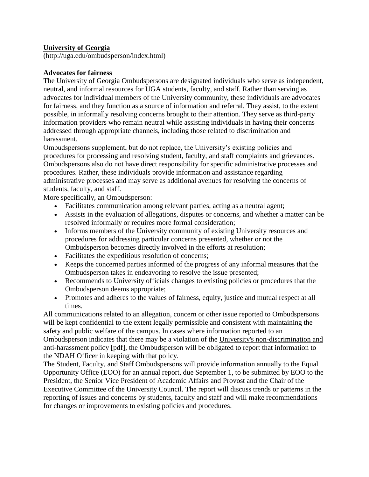# **University of Georgia**

(http://uga.edu/ombudsperson/index.html)

## **Advocates for fairness**

The University of Georgia Ombudspersons are designated individuals who serve as independent, neutral, and informal resources for UGA students, faculty, and staff. Rather than serving as advocates for individual members of the University community, these individuals are advocates for fairness, and they function as a source of information and referral. They assist, to the extent possible, in informally resolving concerns brought to their attention. They serve as third-party information providers who remain neutral while assisting individuals in having their concerns addressed through appropriate channels, including those related to discrimination and harassment.

Ombudspersons supplement, but do not replace, the University's existing policies and procedures for processing and resolving student, faculty, and staff complaints and grievances. Ombudspersons also do not have direct responsibility for specific administrative processes and procedures. Rather, these individuals provide information and assistance regarding administrative processes and may serve as additional avenues for resolving the concerns of students, faculty, and staff.

More specifically, an Ombudsperson:

- Facilitates communication among relevant parties, acting as a neutral agent;
- Assists in the evaluation of allegations, disputes or concerns, and whether a matter can be resolved informally or requires more formal consideration;
- Informs members of the University community of existing University resources and procedures for addressing particular concerns presented, whether or not the Ombudsperson becomes directly involved in the efforts at resolution;
- Facilitates the expeditious resolution of concerns;
- Keeps the concerned parties informed of the progress of any informal measures that the Ombudsperson takes in endeavoring to resolve the issue presented;
- Recommends to University officials changes to existing policies or procedures that the Ombudsperson deems appropriate;
- Promotes and adheres to the values of fairness, equity, justice and mutual respect at all times.

All communications related to an allegation, concern or other issue reported to Ombudspersons will be kept confidential to the extent legally permissible and consistent with maintaining the safety and public welfare of the campus. In cases where information reported to an Ombudsperson indicates that there may be a violation of the [University's non-discrimination and](http://www.uga.edu/eoo/pdfs/NDAH.pdf)  [anti-harassment policy \[pdf\],](http://www.uga.edu/eoo/pdfs/NDAH.pdf) the Ombudsperson will be obligated to report that information to the NDAH Officer in keeping with that policy.

The Student, Faculty, and Staff Ombudspersons will provide information annually to the Equal Opportunity Office (EOO) for an annual report, due September 1, to be submitted by EOO to the President, the Senior Vice President of Academic Affairs and Provost and the Chair of the Executive Committee of the University Council. The report will discuss trends or patterns in the reporting of issues and concerns by students, faculty and staff and will make recommendations for changes or improvements to existing policies and procedures.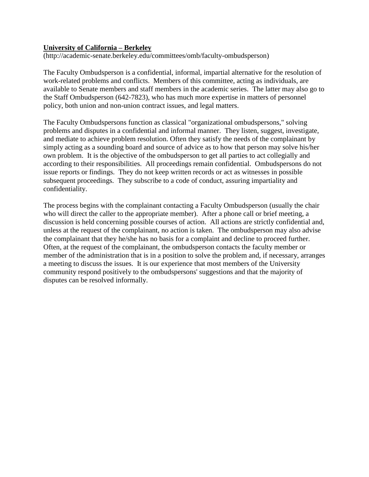#### **University of California – Berkeley**

(http://academic-senate.berkeley.edu/committees/omb/faculty-ombudsperson)

The Faculty Ombudsperson is a confidential, informal, impartial alternative for the resolution of work-related problems and conflicts. Members of this committee, acting as individuals, are available to Senate members and staff members in the academic series. The latter may also go to the Staff Ombudsperson (642-7823), who has much more expertise in matters of personnel policy, both union and non-union contract issues, and legal matters.

The Faculty Ombudspersons function as classical "organizational ombudspersons," solving problems and disputes in a confidential and informal manner. They listen, suggest, investigate, and mediate to achieve problem resolution. Often they satisfy the needs of the complainant by simply acting as a sounding board and source of advice as to how that person may solve his/her own problem. It is the objective of the ombudsperson to get all parties to act collegially and according to their responsibilities. All proceedings remain confidential. Ombudspersons do not issue reports or findings. They do not keep written records or act as witnesses in possible subsequent proceedings. They subscribe to a code of conduct, assuring impartiality and confidentiality.

The process begins with the complainant contacting a Faculty Ombudsperson (usually the chair who will direct the caller to the appropriate member). After a phone call or brief meeting, a discussion is held concerning possible courses of action. All actions are strictly confidential and, unless at the request of the complainant, no action is taken. The ombudsperson may also advise the complainant that they he/she has no basis for a complaint and decline to proceed further. Often, at the request of the complainant, the ombudsperson contacts the faculty member or member of the administration that is in a position to solve the problem and, if necessary, arranges a meeting to discuss the issues. It is our experience that most members of the University community respond positively to the ombudspersons' suggestions and that the majority of disputes can be resolved informally.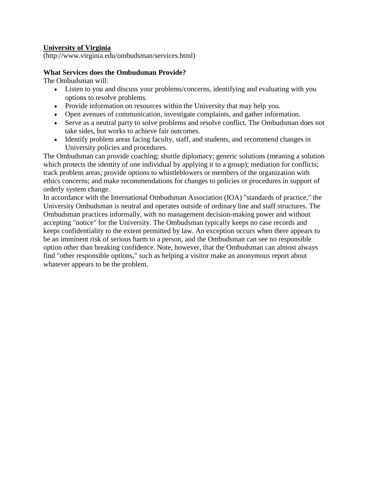## **University of Virginia**

(http://www.virginia.edu/ombudsman/services.html)

#### **What Services does the Ombudsman Provide?**

The Ombudsman will:

- Listen to you and discuss your problems/concerns, identifying and evaluating with you options to resolve problems.
- Provide information on resources within the University that may help you.
- Open avenues of communication, investigate complaints, and gather information.
- Serve as a neutral party to solve problems and resolve conflict. The Ombudsman does not take sides, but works to achieve fair outcomes.
- Identify problem areas facing faculty, staff, and students, and recommend changes in University policies and procedures.

The Ombudsman can provide coaching; shuttle diplomacy; generic solutions (meaning a solution which protects the identity of one individual by applying it to a group); mediation for conflicts; track problem areas; provide options to whistleblowers or members of the organization with ethics concerns; and make recommendations for changes to policies or procedures in support of orderly system change.

In accordance with the International Ombudsman Association (IOA) "standards of practice," the University Ombudsman is neutral and operates outside of ordinary line and staff structures. The Ombudsman practices informally, with no management decision-making power and without accepting "notice" for the University. The Ombudsman typically keeps no case records and keeps confidentiality to the extent permitted by law. An exception occurs when there appears to be an imminent risk of serious harm to a person, and the Ombudsman can see no responsible option other than breaking confidence. Note, however, that the Ombudsman can almost always find "other responsible options," such as helping a visitor make an anonymous report about whatever appears to be the problem.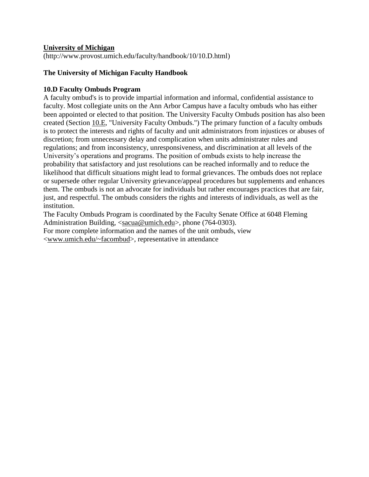#### **University of Michigan**

(http://www.provost.umich.edu/faculty/handbook/10/10.D.html)

#### **The University of Michigan Faculty Handbook**

#### **10.D Faculty Ombuds Program**

A faculty ombud's is to provide impartial information and informal, confidential assistance to faculty. Most collegiate units on the Ann Arbor Campus have a faculty ombuds who has either been appointed or elected to that position. The University Faculty Ombuds position has also been created (Section [10.E,](http://www.provost.umich.edu/faculty/handbook/10/10.E.html) "University Faculty Ombuds.") The primary function of a faculty ombuds is to protect the interests and rights of faculty and unit administrators from injustices or abuses of discretion; from unnecessary delay and complication when units administrater rules and regulations; and from inconsistency, unresponsiveness, and discrimination at all levels of the University's operations and programs. The position of ombuds exists to help increase the probability that satisfactory and just resolutions can be reached informally and to reduce the likelihood that difficult situations might lead to formal grievances. The ombuds does not replace or supersede other regular University grievance/appeal procedures but supplements and enhances them. The ombuds is not an advocate for individuals but rather encourages practices that are fair, just, and respectful. The ombuds considers the rights and interests of individuals, as well as the institution.

The Faculty Ombuds Program is coordinated by the Faculty Senate Office at 6048 Fleming Administration Building, [<sacua@umich.edu>](mailto:sacua@umich.edu), phone (764-0303).

For more complete information and the names of the unit ombuds, view

[<www.umich.edu/~facombud>](http://www.umich.edu/~facombud), representative in attendance